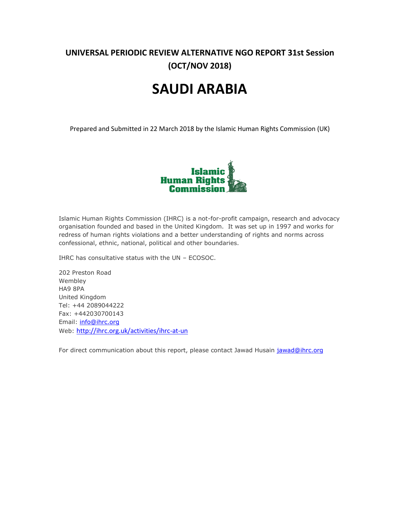## **UNIVERSAL PERIODIC REVIEW ALTERNATIVE NGO REPORT 31st Session (OCT/NOV 2018)**

# **SAUDI ARABIA**

Prepared and Submitted in 22 March 2018 by the Islamic Human Rights Commission (UK)



Islamic Human Rights Commission (IHRC) is a not-for-profit campaign, research and advocacy organisation founded and based in the United Kingdom. It was set up in 1997 and works for redress of human rights violations and a better understanding of rights and norms across confessional, ethnic, national, political and other boundaries.

IHRC has consultative status with the UN – ECOSOC.

202 Preston Road Wembley HA9 8PA United Kingdom Tel: +44 2089044222 Fax: +442030700143 Email: [info@ihrc.org](mailto:info@ihrc.org) Web: <http://ihrc.org.uk/activities/ihrc-at-un>

For direct communication about this report, please contact Jawad Husain [jawad@ihrc.org](mailto:jawad@ihrc.org)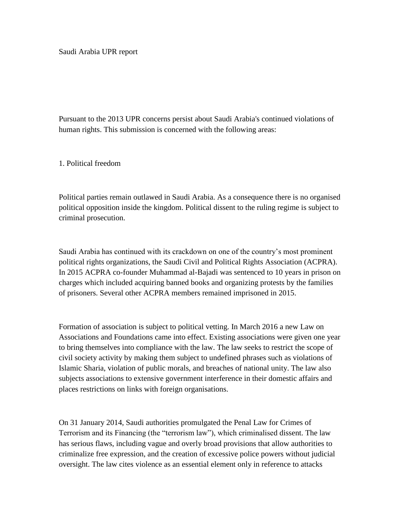Pursuant to the 2013 UPR concerns persist about Saudi Arabia's continued violations of human rights. This submission is concerned with the following areas:

1. Political freedom

Political parties remain outlawed in Saudi Arabia. As a consequence there is no organised political opposition inside the kingdom. Political dissent to the ruling regime is subject to criminal prosecution.

Saudi Arabia has continued with its crackdown on one of the country's most prominent political rights organizations, the Saudi Civil and Political Rights Association (ACPRA). In 2015 ACPRA co-founder Muhammad al-Bajadi was sentenced to 10 years in prison on charges which included acquiring banned books and organizing protests by the families of prisoners. Several other ACPRA members remained imprisoned in 2015.

Formation of association is subject to political vetting. In March 2016 a new Law on Associations and Foundations came into effect. Existing associations were given one year to bring themselves into compliance with the law. The law seeks to restrict the scope of civil society activity by making them subject to undefined phrases such as violations of Islamic Sharia, violation of public morals, and breaches of national unity. The law also subjects associations to extensive government interference in their domestic affairs and places restrictions on links with foreign organisations.

On 31 January 2014, Saudi authorities promulgated the Penal Law for Crimes of Terrorism and its Financing (the "terrorism law"), which criminalised dissent. The law has serious flaws, including vague and overly broad provisions that allow authorities to criminalize free expression, and the creation of excessive police powers without judicial oversight. The law cites violence as an essential element only in reference to attacks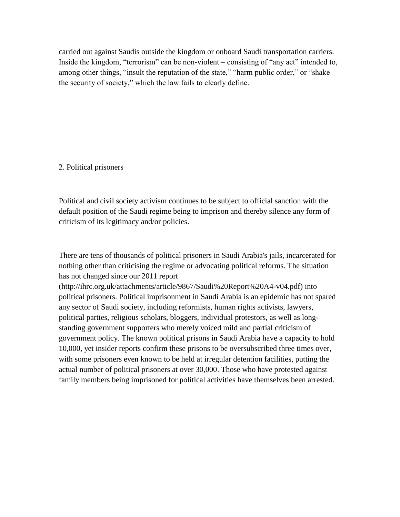carried out against Saudis outside the kingdom or onboard Saudi transportation carriers. Inside the kingdom, "terrorism" can be non-violent – consisting of "any act" intended to, among other things, "insult the reputation of the state," "harm public order," or "shake the security of society," which the law fails to clearly define.

### 2. Political prisoners

Political and civil society activism continues to be subject to official sanction with the default position of the Saudi regime being to imprison and thereby silence any form of criticism of its legitimacy and/or policies.

There are tens of thousands of political prisoners in Saudi Arabia's jails, incarcerated for nothing other than criticising the regime or advocating political reforms. The situation has not changed since our 2011 report

(http://ihrc.org.uk/attachments/article/9867/Saudi%20Report%20A4-v04.pdf) into political prisoners. Political imprisonment in Saudi Arabia is an epidemic has not spared any sector of Saudi society, including reformists, human rights activists, lawyers, political parties, religious scholars, bloggers, individual protestors, as well as longstanding government supporters who merely voiced mild and partial criticism of government policy. The known political prisons in Saudi Arabia have a capacity to hold 10,000, yet insider reports confirm these prisons to be oversubscribed three times over, with some prisoners even known to be held at irregular detention facilities, putting the actual number of political prisoners at over 30,000. Those who have protested against family members being imprisoned for political activities have themselves been arrested.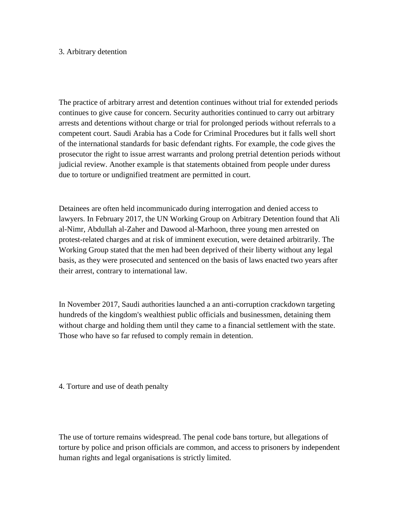### 3. Arbitrary detention

The practice of arbitrary arrest and detention continues without trial for extended periods continues to give cause for concern. Security authorities continued to carry out arbitrary arrests and detentions without charge or trial for prolonged periods without referrals to a competent court. Saudi Arabia has a Code for Criminal Procedures but it falls well short of the international standards for basic defendant rights. For example, the code gives the prosecutor the right to issue arrest warrants and prolong pretrial detention periods without judicial review. Another example is that statements obtained from people under duress due to torture or undignified treatment are permitted in court.

Detainees are often held incommunicado during interrogation and denied access to lawyers. In February 2017, the UN Working Group on Arbitrary Detention found that Ali al-Nimr, Abdullah al-Zaher and Dawood al-Marhoon, three young men arrested on protest-related charges and at risk of imminent execution, were detained arbitrarily. The Working Group stated that the men had been deprived of their liberty without any legal basis, as they were prosecuted and sentenced on the basis of laws enacted two years after their arrest, contrary to international law.

In November 2017, Saudi authorities launched a an anti-corruption crackdown targeting hundreds of the kingdom's wealthiest public officials and businessmen, detaining them without charge and holding them until they came to a financial settlement with the state. Those who have so far refused to comply remain in detention.

4. Torture and use of death penalty

The use of torture remains widespread. The penal code bans torture, but allegations of torture by police and prison officials are common, and access to prisoners by independent human rights and legal organisations is strictly limited.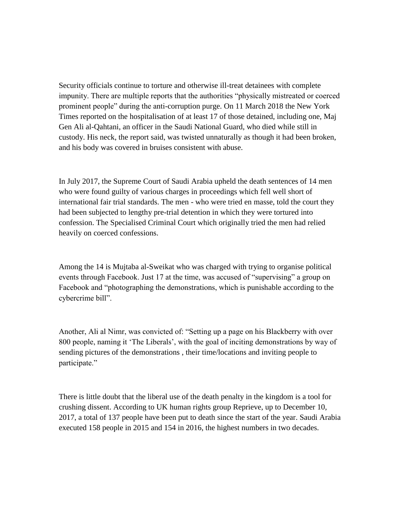Security officials continue to torture and otherwise ill-treat detainees with complete impunity. There are multiple reports that the authorities "physically mistreated or coerced prominent people" during the anti-corruption purge. On 11 March 2018 the New York Times reported on the hospitalisation of at least 17 of those detained, including one, Maj Gen Ali al-Qahtani, an officer in the Saudi National Guard, who died while still in custody. His neck, the report said, was twisted unnaturally as though it had been broken, and his body was covered in bruises consistent with abuse.

In July 2017, the Supreme Court of Saudi Arabia upheld the death sentences of 14 men who were found guilty of various charges in proceedings which fell well short of international fair trial standards. The men - who were tried en masse, told the court they had been subjected to lengthy pre-trial detention in which they were tortured into confession. The Specialised Criminal Court which originally tried the men had relied heavily on coerced confessions.

Among the 14 is Mujtaba al-Sweikat who was charged with trying to organise political events through Facebook. Just 17 at the time, was accused of "supervising" a group on Facebook and "photographing the demonstrations, which is punishable according to the cybercrime bill".

Another, Ali al Nimr, was convicted of: "Setting up a page on his Blackberry with over 800 people, naming it 'The Liberals', with the goal of inciting demonstrations by way of sending pictures of the demonstrations , their time/locations and inviting people to participate."

There is little doubt that the liberal use of the death penalty in the kingdom is a tool for crushing dissent. According to UK human rights group Reprieve, up to December 10, 2017, a total of 137 people have been put to death since the start of the year. Saudi Arabia executed 158 people in 2015 and 154 in 2016, the highest numbers in two decades.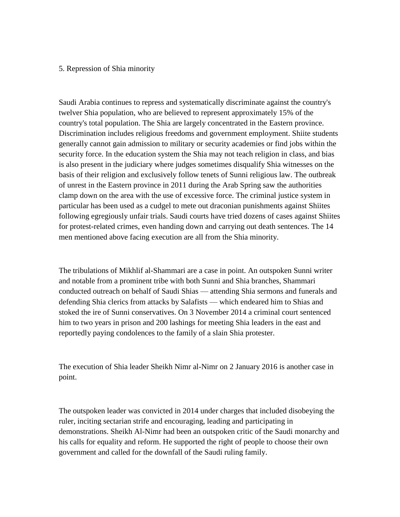#### 5. Repression of Shia minority

Saudi Arabia continues to repress and systematically discriminate against the country's twelver Shia population, who are believed to represent approximately 15% of the country's total population. The Shia are largely concentrated in the Eastern province. Discrimination includes religious freedoms and government employment. Shiite students generally cannot gain admission to military or security academies or find jobs within the security force. In the education system the Shia may not teach religion in class, and bias is also present in the judiciary where judges sometimes disqualify Shia witnesses on the basis of their religion and exclusively follow tenets of Sunni religious law. The outbreak of unrest in the Eastern province in 2011 during the Arab Spring saw the authorities clamp down on the area with the use of excessive force. The criminal justice system in particular has been used as a cudgel to mete out draconian punishments against Shiites following egregiously unfair trials. Saudi courts have tried dozens of cases against Shiites for protest-related crimes, even handing down and carrying out death sentences. The 14 men mentioned above facing execution are all from the Shia minority.

The tribulations of Mikhlif al-Shammari are a case in point. An outspoken Sunni writer and notable from a prominent tribe with both Sunni and Shia branches, Shammari conducted outreach on behalf of Saudi Shias — attending Shia sermons and funerals and defending Shia clerics from attacks by Salafists — which endeared him to Shias and stoked the ire of Sunni conservatives. On 3 November 2014 a criminal court sentenced him to two years in prison and 200 lashings for meeting Shia leaders in the east and reportedly paying condolences to the family of a slain Shia protester.

The execution of Shia leader Sheikh Nimr al-Nimr on 2 January 2016 is another case in point.

The outspoken leader was convicted in 2014 under charges that included disobeying the ruler, inciting sectarian strife and encouraging, leading and participating in demonstrations. Sheikh Al-Nimr had been an outspoken critic of the Saudi monarchy and his calls for equality and reform. He supported the right of people to choose their own government and called for the downfall of the Saudi ruling family.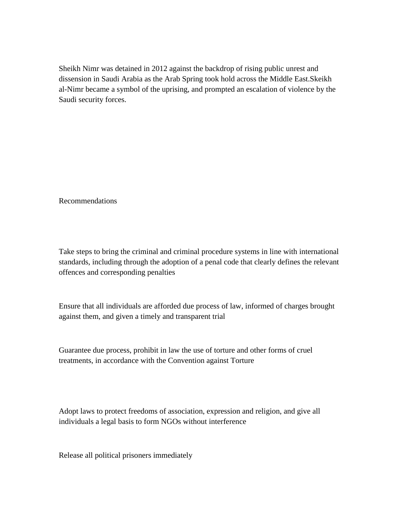Sheikh Nimr was detained in 2012 against the backdrop of rising public unrest and dissension in Saudi Arabia as the Arab Spring took hold across the Middle East.Skeikh al-Nimr became a symbol of the uprising, and prompted an escalation of violence by the Saudi security forces.

Recommendations

Take steps to bring the criminal and criminal procedure systems in line with international standards, including through the adoption of a penal code that clearly defines the relevant offences and corresponding penalties

Ensure that all individuals are afforded due process of law, informed of charges brought against them, and given a timely and transparent trial

Guarantee due process, prohibit in law the use of torture and other forms of cruel treatments, in accordance with the Convention against Torture

Adopt laws to protect freedoms of association, expression and religion, and give all individuals a legal basis to form NGOs without interference

Release all political prisoners immediately